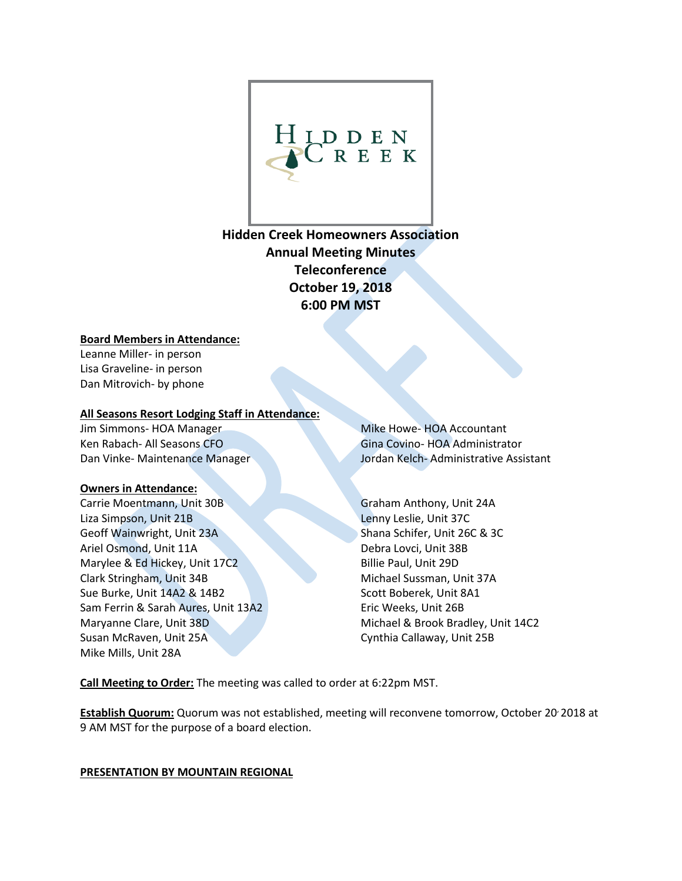

**Hidden Creek Homeowners Association Annual Meeting Minutes Teleconference October 19, 2018 6:00 PM MST**

#### **Board Members in Attendance:**

Leanne Miller- in person Lisa Graveline- in person Dan Mitrovich- by phone

#### **All Seasons Resort Lodging Staff in Attendance:**

Jim Simmons- HOA Manager Ken Rabach- All Seasons CFO Dan Vinke- Maintenance Manager

#### **Owners in Attendance:**

Carrie Moentmann, Unit 30B Liza Simpson, Unit 21B Geoff Wainwright, Unit 23A Ariel Osmond, Unit 11A Marylee & Ed Hickey, Unit 17C2 Clark Stringham, Unit 34B Sue Burke, Unit 14A2 & 14B2 Sam Ferrin & Sarah Aures, Unit 13A2 Maryanne Clare, Unit 38D Susan McRaven, Unit 25A Mike Mills, Unit 28A

Mike Howe- HOA Accountant Gina Covino- HOA Administrator Jordan Kelch- Administrative Assistant

Graham Anthony, Unit 24A Lenny Leslie, Unit 37C Shana Schifer, Unit 26C & 3C Debra Lovci, Unit 38B Billie Paul, Unit 29D Michael Sussman, Unit 37A Scott Boberek, Unit 8A1 Eric Weeks, Unit 26B Michael & Brook Bradley, Unit 14C2 Cynthia Callaway, Unit 25B

**Call Meeting to Order:** The meeting was called to order at 6:22pm MST.

**Establish Quorum:** Quorum was not established, meeting will reconvene tomorrow, October 20, 2018 at 9 AM MST for the purpose of a board election.

**PRESENTATION BY MOUNTAIN REGIONAL**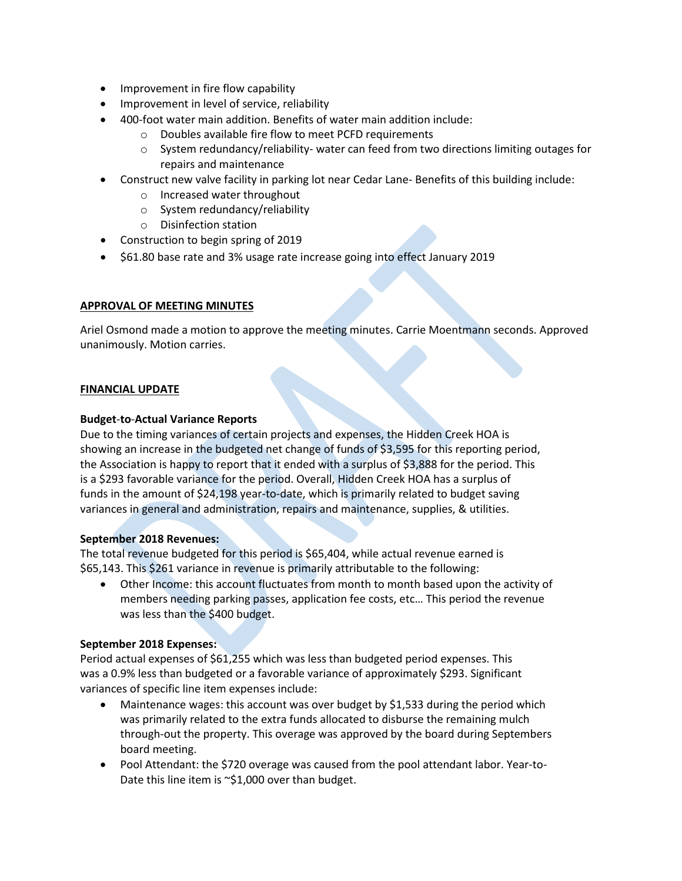- Improvement in fire flow capability
- Improvement in level of service, reliability
- 400-foot water main addition. Benefits of water main addition include:
	- o Doubles available fire flow to meet PCFD requirements
	- o System redundancy/reliability- water can feed from two directions limiting outages for repairs and maintenance
- Construct new valve facility in parking lot near Cedar Lane- Benefits of this building include:
	- o Increased water throughout
	- o System redundancy/reliability
	- o Disinfection station
- Construction to begin spring of 2019
- \$61.80 base rate and 3% usage rate increase going into effect January 2019

#### **APPROVAL OF MEETING MINUTES**

Ariel Osmond made a motion to approve the meeting minutes. Carrie Moentmann seconds. Approved unanimously. Motion carries.

#### **FINANCIAL UPDATE**

#### **Budget**-**to**-**Actual Variance Reports**

Due to the timing variances of certain projects and expenses, the Hidden Creek HOA is showing an increase in the budgeted net change of funds of \$3,595 for this reporting period, the Association is happy to report that it ended with a surplus of \$3,888 for the period. This is a \$293 favorable variance for the period. Overall, Hidden Creek HOA has a surplus of funds in the amount of \$24,198 year-to-date, which is primarily related to budget saving variances in general and administration, repairs and maintenance, supplies, & utilities.

#### **September 2018 Revenues:**

The total revenue budgeted for this period is \$65,404, while actual revenue earned is \$65,143. This \$261 variance in revenue is primarily attributable to the following:

• Other Income: this account fluctuates from month to month based upon the activity of members needing parking passes, application fee costs, etc… This period the revenue was less than the \$400 budget.

#### **September 2018 Expenses:**

Period actual expenses of \$61,255 which was less than budgeted period expenses. This was a 0.9% less than budgeted or a favorable variance of approximately \$293. Significant variances of specific line item expenses include:

- Maintenance wages: this account was over budget by \$1,533 during the period which was primarily related to the extra funds allocated to disburse the remaining mulch through-out the property. This overage was approved by the board during Septembers board meeting.
- Pool Attendant: the \$720 overage was caused from the pool attendant labor. Year-to-Date this line item is ~\$1,000 over than budget.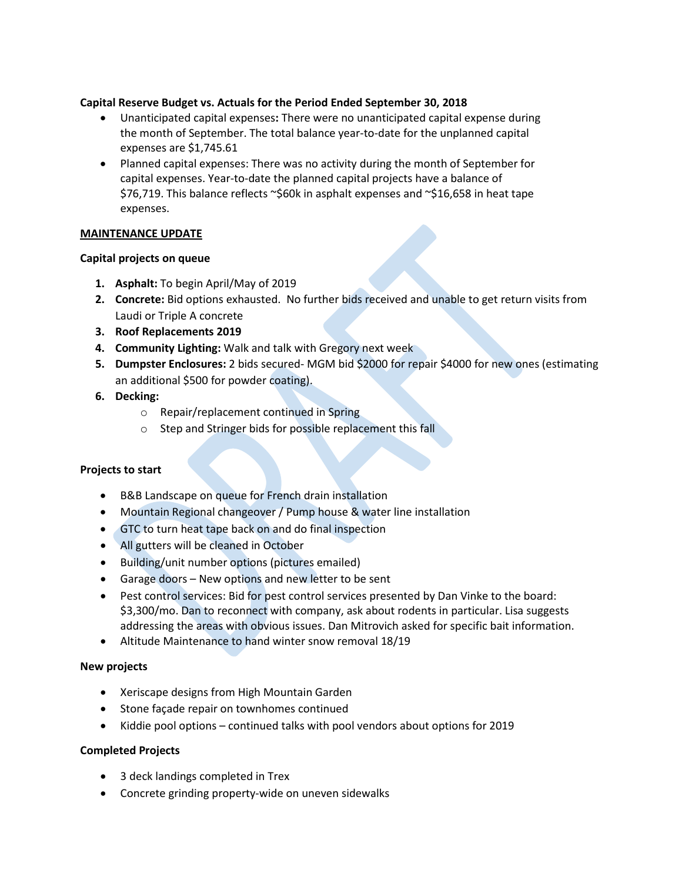### **Capital Reserve Budget vs. Actuals for the Period Ended September 30, 2018**

- Unanticipated capital expenses**:** There were no unanticipated capital expense during the month of September. The total balance year-to-date for the unplanned capital expenses are \$1,745.61
- Planned capital expenses: There was no activity during the month of September for capital expenses. Year-to-date the planned capital projects have a balance of \$76,719. This balance reflects ~\$60k in asphalt expenses and ~\$16,658 in heat tape expenses.

### **MAINTENANCE UPDATE**

# **Capital projects on queue**

- **1. Asphalt:** To begin April/May of 2019
- **2. Concrete:** Bid options exhausted. No further bids received and unable to get return visits from Laudi or Triple A concrete
- **3. Roof Replacements 2019**
- **4. Community Lighting:** Walk and talk with Gregory next week
- **5. Dumpster Enclosures:** 2 bids secured- MGM bid \$2000 for repair \$4000 for new ones (estimating an additional \$500 for powder coating).
- **6. Decking:**
	- o Repair/replacement continued in Spring
	- o Step and Stringer bids for possible replacement this fall

# **Projects to start**

- B&B Landscape on queue for French drain installation
- Mountain Regional changeover / Pump house & water line installation
- GTC to turn heat tape back on and do final inspection
- All gutters will be cleaned in October
- Building/unit number options (pictures emailed)
- Garage doors New options and new letter to be sent
- Pest control services: Bid for pest control services presented by Dan Vinke to the board: \$3,300/mo. Dan to reconnect with company, ask about rodents in particular. Lisa suggests addressing the areas with obvious issues. Dan Mitrovich asked for specific bait information.
- Altitude Maintenance to hand winter snow removal 18/19

#### **New projects**

- Xeriscape designs from High Mountain Garden
- Stone façade repair on townhomes continued
- Kiddie pool options continued talks with pool vendors about options for 2019

#### **Completed Projects**

- 3 deck landings completed in Trex
- Concrete grinding property-wide on uneven sidewalks